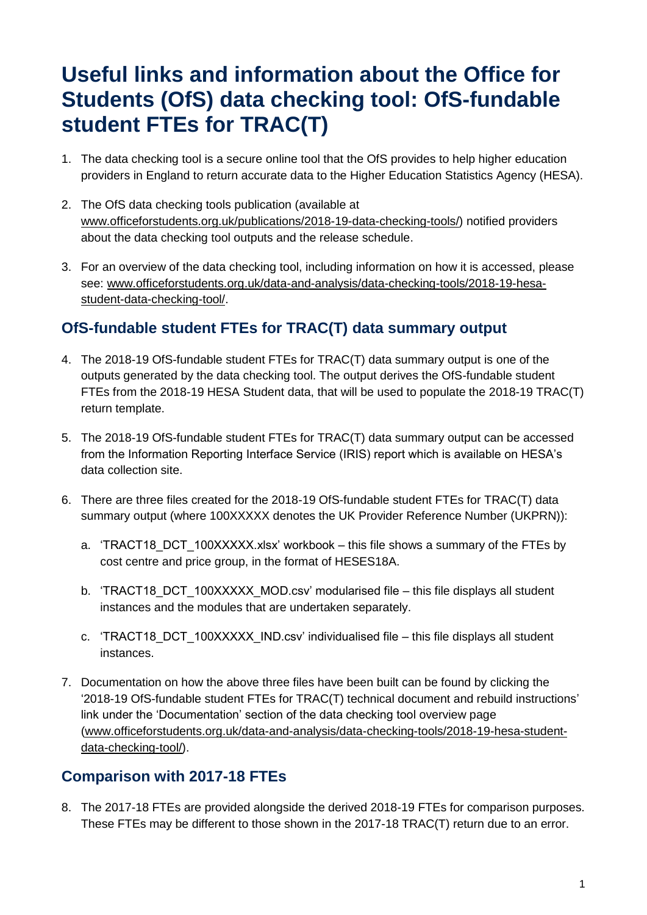## **Useful links and information about the Office for Students (OfS) data checking tool: OfS-fundable student FTEs for TRAC(T)**

- 1. The data checking tool is a secure online tool that the OfS provides to help higher education providers in England to return accurate data to the Higher Education Statistics Agency (HESA).
- 2. The OfS data checking tools publication (available at [www.officeforstudents.org.uk/publications/2018-19-data-checking-tools/\)](https://www.officeforstudents.org.uk/publications/2018-19-data-checking-tools/) notified providers about the data checking tool outputs and the release schedule.
- 3. For an overview of the data checking tool, including information on how it is accessed, please see: [www.officeforstudents.org.uk/data-and-analysis/data-checking-tools/2018-19-hesa](https://www.officeforstudents.org.uk/data-and-analysis/data-checking-tools/2018-19-hesa-student-data-checking-tool/)[student-data-checking-tool/.](https://www.officeforstudents.org.uk/data-and-analysis/data-checking-tools/2018-19-hesa-student-data-checking-tool/)

## **OfS-fundable student FTEs for TRAC(T) data summary output**

- 4. The 2018-19 OfS-fundable student FTEs for TRAC(T) data summary output is one of the outputs generated by the data checking tool. The output derives the OfS-fundable student FTEs from the 2018-19 HESA Student data, that will be used to populate the 2018-19 TRAC(T) return template.
- 5. The 2018-19 OfS-fundable student FTEs for TRAC(T) data summary output can be accessed from the Information Reporting Interface Service (IRIS) report which is available on HESA's data collection site.
- 6. There are three files created for the 2018-19 OfS-fundable student FTEs for TRAC(T) data summary output (where 100XXXXX denotes the UK Provider Reference Number (UKPRN)):
	- a. 'TRACT18 DCT 100XXXXX.xlsx' workbook this file shows a summary of the FTEs by cost centre and price group, in the format of HESES18A.
	- b. 'TRACT18 DCT 100XXXXX\_MOD.csv' modularised file this file displays all student instances and the modules that are undertaken separately.
	- c. 'TRACT18 DCT 100XXXXX\_IND.csv' individualised file this file displays all student instances.
- 7. Documentation on how the above three files have been built can be found by clicking the '2018-19 OfS-fundable student FTEs for TRAC(T) technical document and rebuild instructions' link under the 'Documentation' section of the data checking tool overview page [\(www.officeforstudents.org.uk/data-and-analysis/data-checking-tools/2018-19-hesa-student](https://www.officeforstudents.org.uk/data-and-analysis/data-checking-tools/2018-19-hesa-student-data-checking-tool/)[data-checking-tool/\)](https://www.officeforstudents.org.uk/data-and-analysis/data-checking-tools/2018-19-hesa-student-data-checking-tool/).

## **Comparison with 2017-18 FTEs**

8. The 2017-18 FTEs are provided alongside the derived 2018-19 FTEs for comparison purposes. These FTEs may be different to those shown in the 2017-18 TRAC(T) return due to an error.